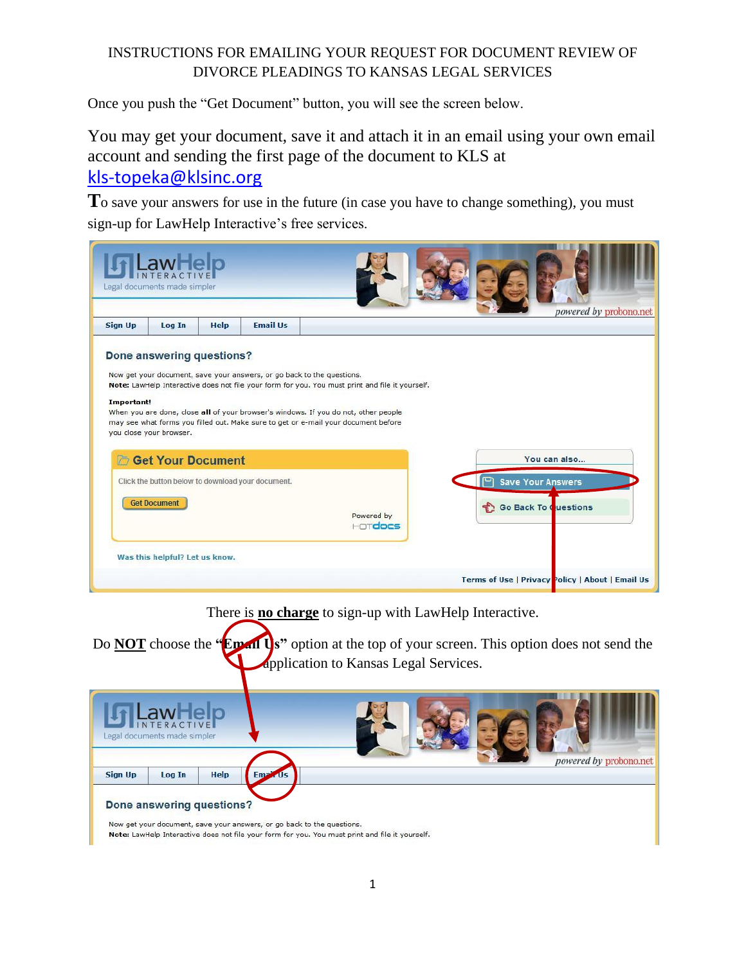## INSTRUCTIONS FOR EMAILING YOUR REQUEST FOR DOCUMENT REVIEW OF DIVORCE PLEADINGS TO KANSAS LEGAL SERVICES

Once you push the "Get Document" button, you will see the screen below.

You may get your document, save it and attach it in an email using your own email account and sending the first page of the document to KLS at [kls-topeka@klsinc.org](mailto:kls-topeka@klsinc.org)

**T**o save your answers for use in the future (in case you have to change something), you must sign-up for LawHelp Interactive's free services.



Now get your document, save your answers, or go back to the questions. Note: LawHelp Interactive does not file your form for you. You must print and file it yourself.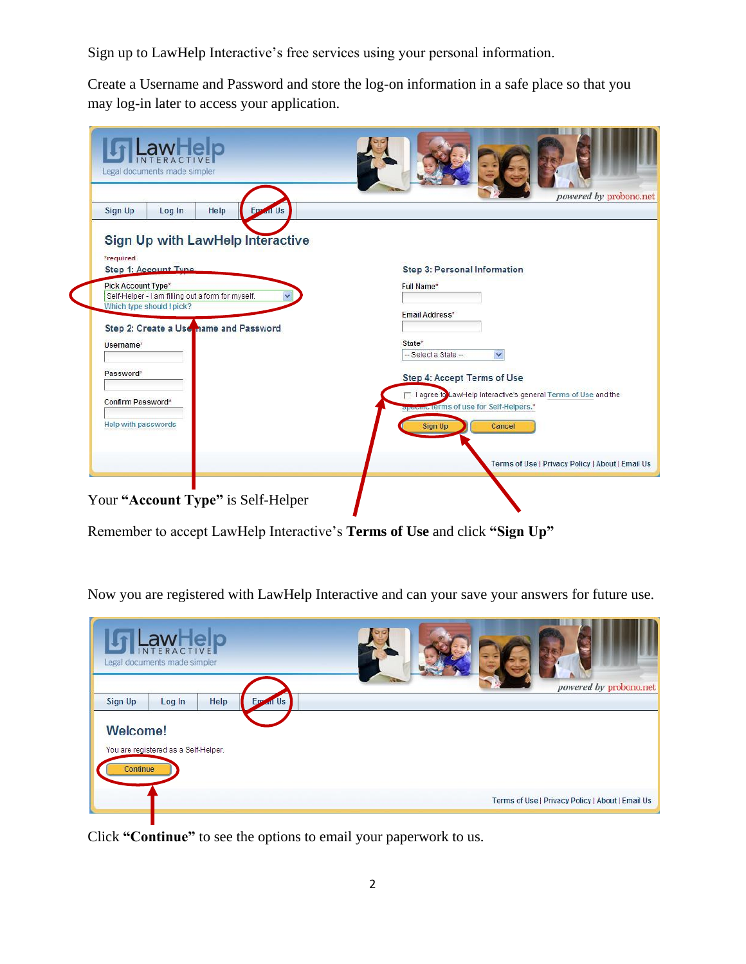Sign up to LawHelp Interactive's free services using your personal information.

Create a Username and Password and store the log-on information in a safe place so that you may log-in later to access your application.

| Legal documents made simpler                                                                         |                                                                                                             |
|------------------------------------------------------------------------------------------------------|-------------------------------------------------------------------------------------------------------------|
| Sign Up<br>Help<br>Log In<br>Em<br>all Us                                                            | powered by probono.net                                                                                      |
| Sign Up with LawHelp Interactive<br>*required<br>Step 1: Account Tyne                                | <b>Step 3: Personal Information</b>                                                                         |
| Pick Account Type*<br>Self-Helper - I am filling out a form for myself.<br>Which type should I pick? | Full Name*<br>Email Address*                                                                                |
| Step 2: Create a Use name and Password<br>Username*                                                  | State*<br>-- Select a State --<br>$\checkmark$                                                              |
| Password*                                                                                            | Step 4: Accept Terms of Use                                                                                 |
| Confirm Password*                                                                                    | □ I agree to LawHelp Interactive's general Terms of Use and the<br>specific terms of use for Self-Helpers.* |
| Help with passwords                                                                                  | Cancel<br><b>Sign Up</b>                                                                                    |
|                                                                                                      | Terms of Use   Privacy Policy   About   Email Us                                                            |
| Your "Account Type" is Self-Helper                                                                   |                                                                                                             |

Remember to accept LawHelp Interactive's **Terms of Use** and click **"Sign Up"**

Now you are registered with LawHelp Interactive and can your save your answers for future use.

| JLawHelp<br>Legal documents made simpler                                                          | powered by probono.net                           |
|---------------------------------------------------------------------------------------------------|--------------------------------------------------|
| Help<br>Sign Up<br>Log In<br><b>Em</b><br><b>Welcome!</b><br>You are registered as a Self-Helper. | <b>In Us</b>                                     |
| Continue                                                                                          | Terms of Use   Privacy Policy   About   Email Us |

Click **"Continue"** to see the options to email your paperwork to us.